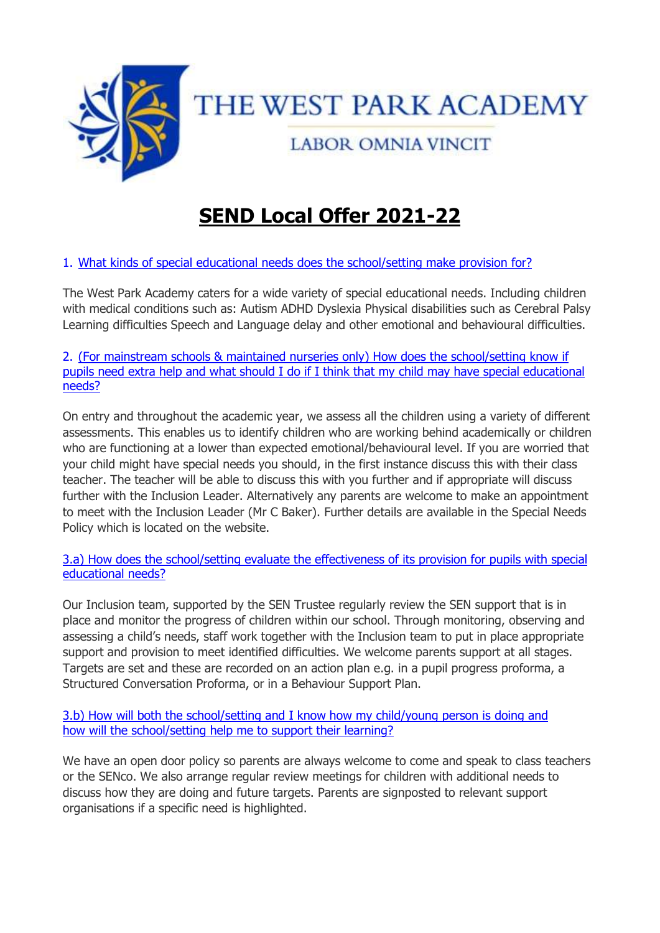

# **SEND Local Offer 2021-22**

## 1. [What kinds of special educational needs does the school/setting make provision](https://search3.openobjects.com/kb5/nottinghamshire/directory/service.page?id=LpibHymipJc#sub_1) [for?](https://search3.openobjects.com/kb5/nottinghamshire/directory/service.page?id=LpibHymipJc#sub_1)

The West Park Academy caters for a wide variety of special educational needs. Including children with medical conditions such as: Autism ADHD Dyslexia Physical disabilities such as Cerebral Palsy Learning difficulties Speech and Language delay and other emotional and behavioural difficulties.

2. [\(For mainstream schools & maintained nurseries only\) How does the](https://search3.openobjects.com/kb5/nottinghamshire/directory/service.page?id=LpibHymipJc#sub_2) [school/setting know if](https://search3.openobjects.com/kb5/nottinghamshire/directory/service.page?id=LpibHymipJc#sub_2)  [pupils need extra help and what should I do if I think that my](https://search3.openobjects.com/kb5/nottinghamshire/directory/service.page?id=LpibHymipJc#sub_2) [child may have special educational](https://search3.openobjects.com/kb5/nottinghamshire/directory/service.page?id=LpibHymipJc#sub_2)  [needs?](https://search3.openobjects.com/kb5/nottinghamshire/directory/service.page?id=LpibHymipJc#sub_2)

On entry and throughout the academic year, we assess all the children using a variety of different assessments. This enables us to identify children who are working behind academically or children who are functioning at a lower than expected emotional/behavioural level. If you are worried that your child might have special needs you should, in the first instance discuss this with their class teacher. The teacher will be able to discuss this with you further and if appropriate will discuss further with the Inclusion Leader. Alternatively any parents are welcome to make an appointment to meet with the Inclusion Leader (Mr C Baker). Further details are available in the Special Needs Policy which is located on the website.

[3.a\) How does the school/setting evaluate the effectiveness of its provision for pupils](https://search3.openobjects.com/kb5/nottinghamshire/directory/service.page?id=LpibHymipJc#sub_3) [with special](https://search3.openobjects.com/kb5/nottinghamshire/directory/service.page?id=LpibHymipJc#sub_3)  [educational needs?](https://search3.openobjects.com/kb5/nottinghamshire/directory/service.page?id=LpibHymipJc#sub_3)

Our Inclusion team, supported by the SEN Trustee regularly review the SEN support that is in place and monitor the progress of children within our school. Through monitoring, observing and assessing a child's needs, staff work together with the Inclusion team to put in place appropriate support and provision to meet identified difficulties. We welcome parents support at all stages. Targets are set and these are recorded on an action plan e.g. in a pupil progress proforma, a Structured Conversation Proforma, or in a Behaviour Support Plan.

3.b) How [will both the school/setting and I know how my child/young person is](https://search3.openobjects.com/kb5/nottinghamshire/directory/service.page?id=LpibHymipJc#sub_4) [doing and](https://search3.openobjects.com/kb5/nottinghamshire/directory/service.page?id=LpibHymipJc#sub_4)  [how will the school/setting help me to support their learning?](https://search3.openobjects.com/kb5/nottinghamshire/directory/service.page?id=LpibHymipJc#sub_4)

We have an open door policy so parents are always welcome to come and speak to class teachers or the SENco. We also arrange regular review meetings for children with additional needs to discuss how they are doing and future targets. Parents are signposted to relevant support organisations if a specific need is highlighted.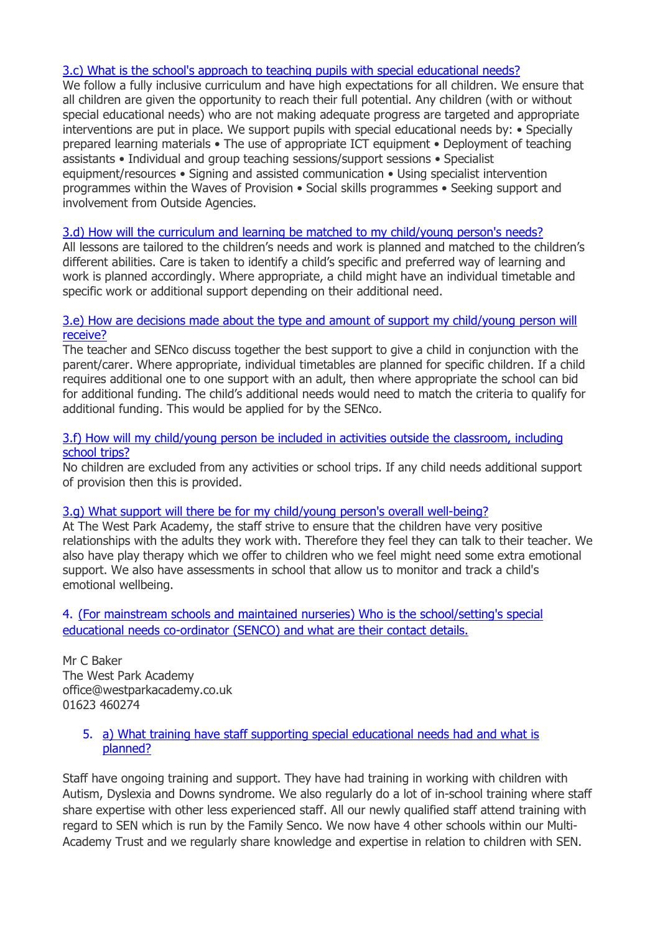## [3.c\) What is the school's approach to teaching pupils with special educational needs?](https://search3.openobjects.com/kb5/nottinghamshire/directory/service.page?id=LpibHymipJc#sub_5)

We follow a fully inclusive curriculum and have high expectations for all children. We ensure that all children are given the opportunity to reach their full potential. Any children (with or without special educational needs) who are not making adequate progress are targeted and appropriate interventions are put in place. We support pupils with special educational needs by: • Specially prepared learning materials • The use of appropriate ICT equipment • Deployment of teaching assistants • Individual and group teaching sessions/support sessions • Specialist equipment/resources • Signing and assisted communication • Using specialist intervention programmes within the Waves of Provision • Social skills programmes • Seeking support and involvement from Outside Agencies.

## [3.d\) How will the curriculum and learning be matched to my child/young person's](https://search3.openobjects.com/kb5/nottinghamshire/directory/service.page?id=LpibHymipJc#sub_6) [needs?](https://search3.openobjects.com/kb5/nottinghamshire/directory/service.page?id=LpibHymipJc#sub_6)

All lessons are tailored to the children's needs and work is planned and matched to the children's different abilities. Care is taken to identify a child's specific and preferred way of learning and work is planned accordingly. Where appropriate, a child might have an individual timetable and specific work or additional support depending on their additional need.

#### [3.e\) How are decisions made about the type and amount of support my child/young](https://search3.openobjects.com/kb5/nottinghamshire/directory/service.page?id=LpibHymipJc#sub_7) [person will](https://search3.openobjects.com/kb5/nottinghamshire/directory/service.page?id=LpibHymipJc#sub_7)  [receive?](https://search3.openobjects.com/kb5/nottinghamshire/directory/service.page?id=LpibHymipJc#sub_7)

The teacher and SENco discuss together the best support to give a child in conjunction with the parent/carer. Where appropriate, individual timetables are planned for specific children. If a child requires additional one to one support with an adult, then where appropriate the school can bid for additional funding. The child's additional needs would need to match the criteria to qualify for additional funding. This would be applied for by the SENco.

#### [3.f\) How will my child/young person be included in activities outside the classroom,](https://search3.openobjects.com/kb5/nottinghamshire/directory/service.page?id=LpibHymipJc#sub_8) [including](https://search3.openobjects.com/kb5/nottinghamshire/directory/service.page?id=LpibHymipJc#sub_8)  [school trips?](https://search3.openobjects.com/kb5/nottinghamshire/directory/service.page?id=LpibHymipJc#sub_8)

No children are excluded from any activities or school trips. If any child needs additional support of provision then this is provided.

#### [3.g\) What support will there be for my child/young person's overall well-being?](https://search3.openobjects.com/kb5/nottinghamshire/directory/service.page?id=LpibHymipJc#sub_9)

At The West Park Academy, the staff strive to ensure that the children have very positive relationships with the adults they work with. Therefore they feel they can talk to their teacher. We also have play therapy which we offer to children who we feel might need some extra emotional support. We also have assessments in school that allow us to monitor and track a child's emotional wellbeing.

4. [\(For mainstream schools and maintained nurseries\) Who is the school/setting's](https://search3.openobjects.com/kb5/nottinghamshire/directory/service.page?id=LpibHymipJc#sub_10) [special](https://search3.openobjects.com/kb5/nottinghamshire/directory/service.page?id=LpibHymipJc#sub_10)  [educational needs co-ordinator \(SENCO\) and what are their contact details.](https://search3.openobjects.com/kb5/nottinghamshire/directory/service.page?id=LpibHymipJc#sub_10)

Mr C Baker The West Park Academy office@westparkacademy.co.uk 01623 460274

## 5. [a\) What training have staff supporting special educational needs had and what is](https://search3.openobjects.com/kb5/nottinghamshire/directory/service.page?id=LpibHymipJc#sub_11) [planned?](https://search3.openobjects.com/kb5/nottinghamshire/directory/service.page?id=LpibHymipJc#sub_11)

Staff have ongoing training and support. They have had training in working with children with Autism, Dyslexia and Downs syndrome. We also regularly do a lot of in-school training where staff share expertise with other less experienced staff. All our newly qualified staff attend training with regard to SEN which is run by the Family Senco. We now have 4 other schools within our Multi-Academy Trust and we regularly share knowledge and expertise in relation to children with SEN.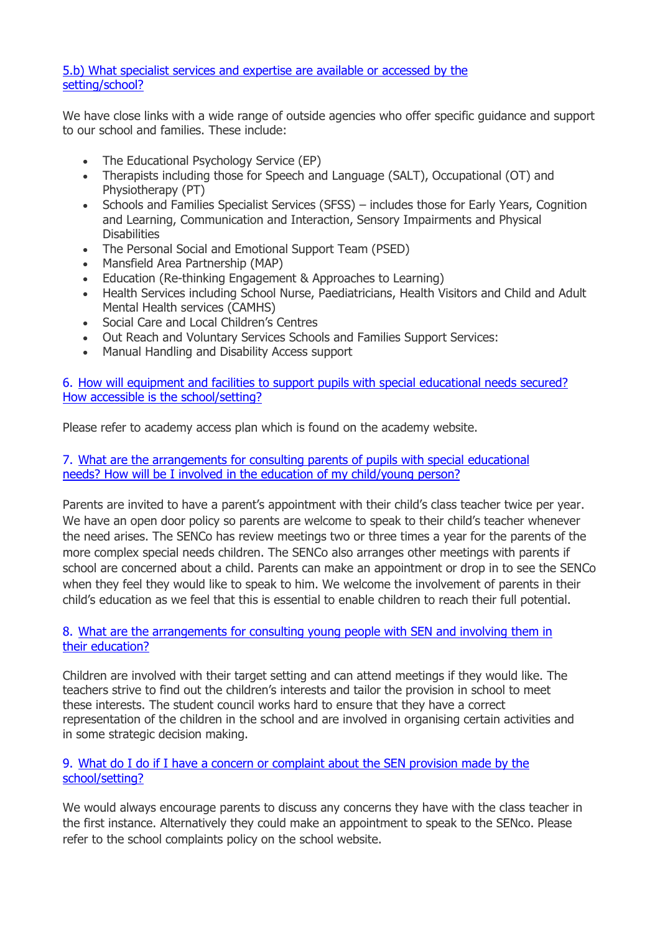## [5.b\) What specialist services and expertise are available or accessed by the](https://search3.openobjects.com/kb5/nottinghamshire/directory/service.page?id=LpibHymipJc#sub_12) [setting/school?](https://search3.openobjects.com/kb5/nottinghamshire/directory/service.page?id=LpibHymipJc#sub_12)

We have close links with a wide range of outside agencies who offer specific guidance and support to our school and families. These include:

- The Educational Psychology Service (EP)
- Therapists including those for Speech and Language (SALT), Occupational (OT) and Physiotherapy (PT)
- Schools and Families Specialist Services (SFSS) includes those for Early Years, Cognition and Learning, Communication and Interaction, Sensory Impairments and Physical **Disabilities**
- The Personal Social and Emotional Support Team (PSED)
- Mansfield Area Partnership (MAP)
- Education (Re-thinking Engagement & Approaches to Learning)
- Health Services including School Nurse, Paediatricians, Health Visitors and Child and Adult Mental Health services (CAMHS)
- Social Care and Local Children's Centres
- Out Reach and Voluntary Services Schools and Families Support Services:
- Manual Handling and Disability Access support

6. [How will equipment and facilities to support pupils with special educational needs](https://search3.openobjects.com/kb5/nottinghamshire/directory/service.page?id=LpibHymipJc#sub_13) [secured?](https://search3.openobjects.com/kb5/nottinghamshire/directory/service.page?id=LpibHymipJc#sub_13)  [How accessible is the school/setting?](https://search3.openobjects.com/kb5/nottinghamshire/directory/service.page?id=LpibHymipJc#sub_13)

Please refer to academy access plan which is found on the academy website.

7. [What are the arrangements for consulting parents of pupils with special](https://search3.openobjects.com/kb5/nottinghamshire/directory/service.page?id=LpibHymipJc#sub_14) [educational](https://search3.openobjects.com/kb5/nottinghamshire/directory/service.page?id=LpibHymipJc#sub_14)  [needs? How will be I involved in the education of my child/young](https://search3.openobjects.com/kb5/nottinghamshire/directory/service.page?id=LpibHymipJc#sub_14) [person?](https://search3.openobjects.com/kb5/nottinghamshire/directory/service.page?id=LpibHymipJc#sub_14)

Parents are invited to have a parent's appointment with their child's class teacher twice per year. We have an open door policy so parents are welcome to speak to their child's teacher whenever the need arises. The SENCo has review meetings two or three times a year for the parents of the more complex special needs children. The SENCo also arranges other meetings with parents if school are concerned about a child. Parents can make an appointment or drop in to see the SENCo when they feel they would like to speak to him. We welcome the involvement of parents in their child's education as we feel that this is essential to enable children to reach their full potential.

## 8. [What are the arrangements for consulting young people with SEN and involving](https://search3.openobjects.com/kb5/nottinghamshire/directory/service.page?id=LpibHymipJc#sub_15) [them in](https://search3.openobjects.com/kb5/nottinghamshire/directory/service.page?id=LpibHymipJc#sub_15)  [their education?](https://search3.openobjects.com/kb5/nottinghamshire/directory/service.page?id=LpibHymipJc#sub_15)

Children are involved with their target setting and can attend meetings if they would like. The teachers strive to find out the children's interests and tailor the provision in school to meet these interests. The student council works hard to ensure that they have a correct representation of the children in the school and are involved in organising certain activities and in some strategic decision making.

## 9. [What do I do if I have a concern or complaint about the SEN provision made by](https://search3.openobjects.com/kb5/nottinghamshire/directory/service.page?id=LpibHymipJc#sub_16) [the](https://search3.openobjects.com/kb5/nottinghamshire/directory/service.page?id=LpibHymipJc#sub_16)  [school/setting?](https://search3.openobjects.com/kb5/nottinghamshire/directory/service.page?id=LpibHymipJc#sub_16)

We would always encourage parents to discuss any concerns they have with the class teacher in the first instance. Alternatively they could make an appointment to speak to the SENco. Please refer to the school complaints policy on the school website.